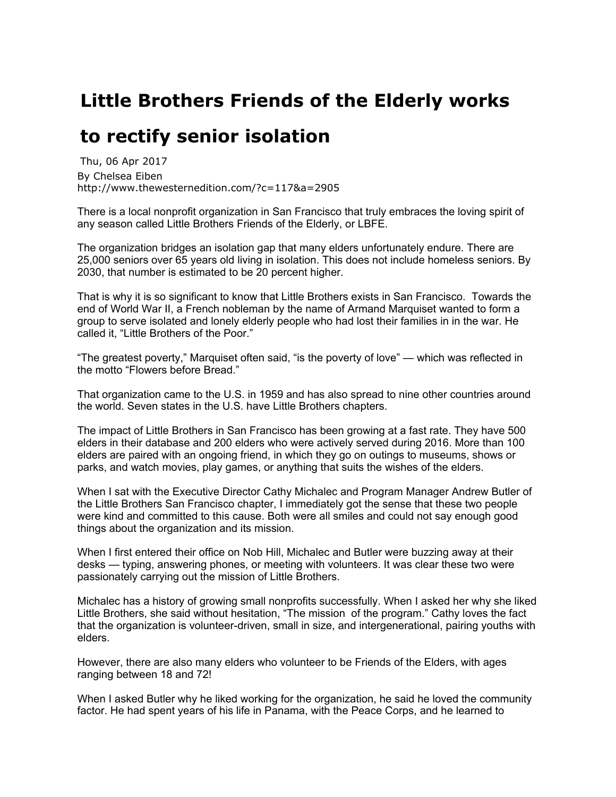## **Little Brothers Friends of the Elderly works**

## **to rectify senior isolation**

Thu, 06 Apr 2017 By Chelsea Eiben http://www.thewesternedition.com/?c=117&a=2905

There is a local nonprofit organization in San Francisco that truly embraces the loving spirit of any season called Little Brothers Friends of the Elderly, or LBFE.

The organization bridges an isolation gap that many elders unfortunately endure. There are 25,000 seniors over 65 years old living in isolation. This does not include homeless seniors. By 2030, that number is estimated to be 20 percent higher.

That is why it is so significant to know that Little Brothers exists in San Francisco. Towards the end of World War II, a French nobleman by the name of Armand Marquiset wanted to form a group to serve isolated and lonely elderly people who had lost their families in in the war. He called it, "Little Brothers of the Poor."

"The greatest poverty," Marquiset often said, "is the poverty of love" — which was reflected in the motto "Flowers before Bread."

That organization came to the U.S. in 1959 and has also spread to nine other countries around the world. Seven states in the U.S. have Little Brothers chapters.

The impact of Little Brothers in San Francisco has been growing at a fast rate. They have 500 elders in their database and 200 elders who were actively served during 2016. More than 100 elders are paired with an ongoing friend, in which they go on outings to museums, shows or parks, and watch movies, play games, or anything that suits the wishes of the elders.

When I sat with the Executive Director Cathy Michalec and Program Manager Andrew Butler of the Little Brothers San Francisco chapter, I immediately got the sense that these two people were kind and committed to this cause. Both were all smiles and could not say enough good things about the organization and its mission.

When I first entered their office on Nob Hill, Michalec and Butler were buzzing away at their desks — typing, answering phones, or meeting with volunteers. It was clear these two were passionately carrying out the mission of Little Brothers.

Michalec has a history of growing small nonprofits successfully. When I asked her why she liked Little Brothers, she said without hesitation, "The mission of the program." Cathy loves the fact that the organization is volunteer-driven, small in size, and intergenerational, pairing youths with elders.

However, there are also many elders who volunteer to be Friends of the Elders, with ages ranging between 18 and 72!

When I asked Butler why he liked working for the organization, he said he loved the community factor. He had spent years of his life in Panama, with the Peace Corps, and he learned to